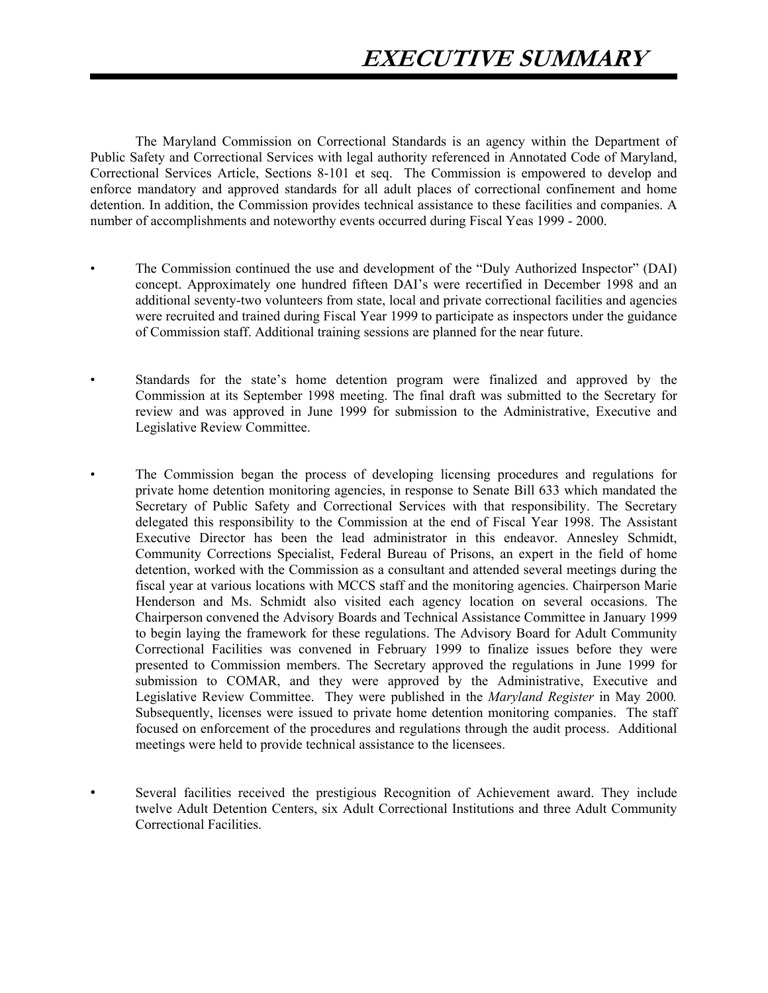The Maryland Commission on Correctional Standards is an agency within the Department of Public Safety and Correctional Services with legal authority referenced in Annotated Code of Maryland, Correctional Services Article, Sections 8-101 et seq. The Commission is empowered to develop and enforce mandatory and approved standards for all adult places of correctional confinement and home detention. In addition, the Commission provides technical assistance to these facilities and companies. A number of accomplishments and noteworthy events occurred during Fiscal Yeas 1999 - 2000.

- The Commission continued the use and development of the "Duly Authorized Inspector" (DAI) concept. Approximately one hundred fifteen DAI's were recertified in December 1998 and an additional seventy-two volunteers from state, local and private correctional facilities and agencies were recruited and trained during Fiscal Year 1999 to participate as inspectors under the guidance of Commission staff. Additional training sessions are planned for the near future.
- Standards for the state's home detention program were finalized and approved by the Commission at its September 1998 meeting. The final draft was submitted to the Secretary for review and was approved in June 1999 for submission to the Administrative, Executive and Legislative Review Committee.
- The Commission began the process of developing licensing procedures and regulations for private home detention monitoring agencies, in response to Senate Bill 633 which mandated the Secretary of Public Safety and Correctional Services with that responsibility. The Secretary delegated this responsibility to the Commission at the end of Fiscal Year 1998. The Assistant Executive Director has been the lead administrator in this endeavor. Annesley Schmidt, Community Corrections Specialist, Federal Bureau of Prisons, an expert in the field of home detention, worked with the Commission as a consultant and attended several meetings during the fiscal year at various locations with MCCS staff and the monitoring agencies. Chairperson Marie Henderson and Ms. Schmidt also visited each agency location on several occasions. The Chairperson convened the Advisory Boards and Technical Assistance Committee in January 1999 to begin laying the framework for these regulations. The Advisory Board for Adult Community Correctional Facilities was convened in February 1999 to finalize issues before they were presented to Commission members. The Secretary approved the regulations in June 1999 for submission to COMAR, and they were approved by the Administrative, Executive and Legislative Review Committee. They were published in the *Maryland Register* in May 2000*.*  Subsequently, licenses were issued to private home detention monitoring companies. The staff focused on enforcement of the procedures and regulations through the audit process. Additional meetings were held to provide technical assistance to the licensees.
- Several facilities received the prestigious Recognition of Achievement award. They include twelve Adult Detention Centers, six Adult Correctional Institutions and three Adult Community Correctional Facilities.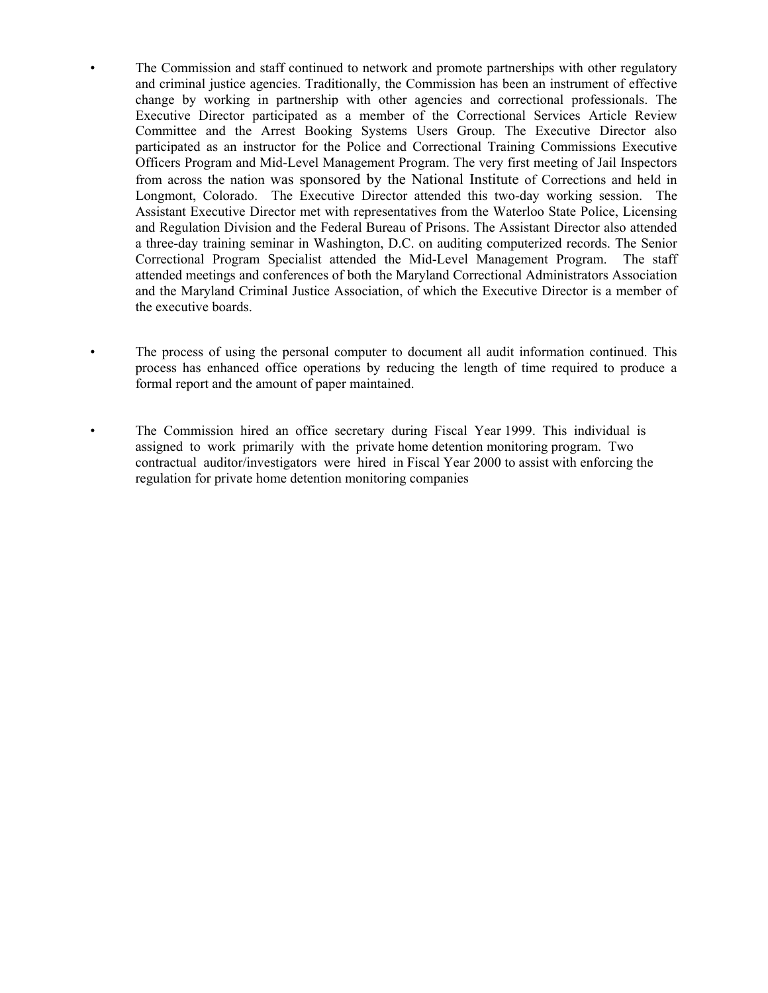- The Commission and staff continued to network and promote partnerships with other regulatory and criminal justice agencies. Traditionally, the Commission has been an instrument of effective change by working in partnership with other agencies and correctional professionals. The Executive Director participated as a member of the Correctional Services Article Review Committee and the Arrest Booking Systems Users Group. The Executive Director also participated as an instructor for the Police and Correctional Training Commissions Executive Officers Program and Mid-Level Management Program. The very first meeting of Jail Inspectors from across the nation was sponsored by the National Institute of Corrections and held in Longmont, Colorado. The Executive Director attended this two-day working session. The Assistant Executive Director met with representatives from the Waterloo State Police, Licensing and Regulation Division and the Federal Bureau of Prisons. The Assistant Director also attended a three-day training seminar in Washington, D.C. on auditing computerized records. The Senior Correctional Program Specialist attended the Mid-Level Management Program. The staff attended meetings and conferences of both the Maryland Correctional Administrators Association and the Maryland Criminal Justice Association, of which the Executive Director is a member of the executive boards.
- The process of using the personal computer to document all audit information continued. This process has enhanced office operations by reducing the length of time required to produce a formal report and the amount of paper maintained.
- The Commission hired an office secretary during Fiscal Year 1999. This individual is assigned to work primarily with the private home detention monitoring program. Two contractual auditor/investigators were hired in Fiscal Year 2000 to assist with enforcing the regulation for private home detention monitoring companies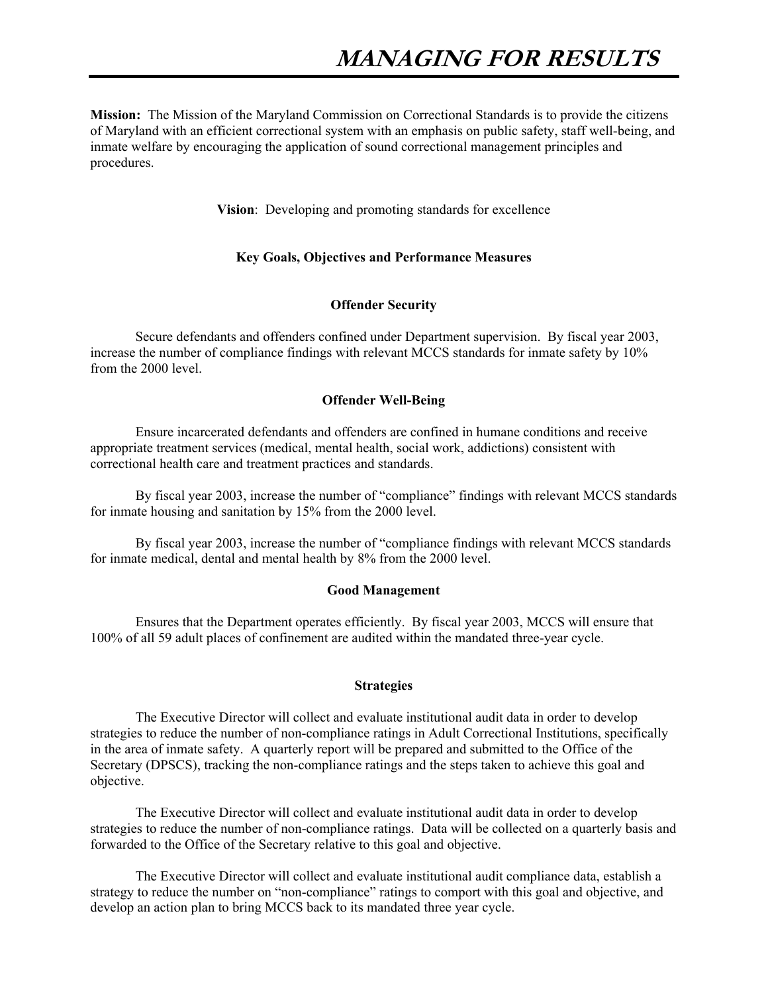**Mission:** The Mission of the Maryland Commission on Correctional Standards is to provide the citizens of Maryland with an efficient correctional system with an emphasis on public safety, staff well-being, and inmate welfare by encouraging the application of sound correctional management principles and procedures.

**Vision**: Developing and promoting standards for excellence

#### **Key Goals, Objectives and Performance Measures**

#### **Offender Security**

 Secure defendants and offenders confined under Department supervision. By fiscal year 2003, increase the number of compliance findings with relevant MCCS standards for inmate safety by 10% from the 2000 level.

### **Offender Well-Being**

 Ensure incarcerated defendants and offenders are confined in humane conditions and receive appropriate treatment services (medical, mental health, social work, addictions) consistent with correctional health care and treatment practices and standards.

 By fiscal year 2003, increase the number of "compliance" findings with relevant MCCS standards for inmate housing and sanitation by 15% from the 2000 level.

 By fiscal year 2003, increase the number of "compliance findings with relevant MCCS standards for inmate medical, dental and mental health by 8% from the 2000 level.

#### **Good Management**

 Ensures that the Department operates efficiently. By fiscal year 2003, MCCS will ensure that 100% of all 59 adult places of confinement are audited within the mandated three-year cycle.

#### **Strategies**

 The Executive Director will collect and evaluate institutional audit data in order to develop strategies to reduce the number of non-compliance ratings in Adult Correctional Institutions, specifically in the area of inmate safety. A quarterly report will be prepared and submitted to the Office of the Secretary (DPSCS), tracking the non-compliance ratings and the steps taken to achieve this goal and objective.

 The Executive Director will collect and evaluate institutional audit data in order to develop strategies to reduce the number of non-compliance ratings. Data will be collected on a quarterly basis and forwarded to the Office of the Secretary relative to this goal and objective.

 The Executive Director will collect and evaluate institutional audit compliance data, establish a strategy to reduce the number on "non-compliance" ratings to comport with this goal and objective, and develop an action plan to bring MCCS back to its mandated three year cycle.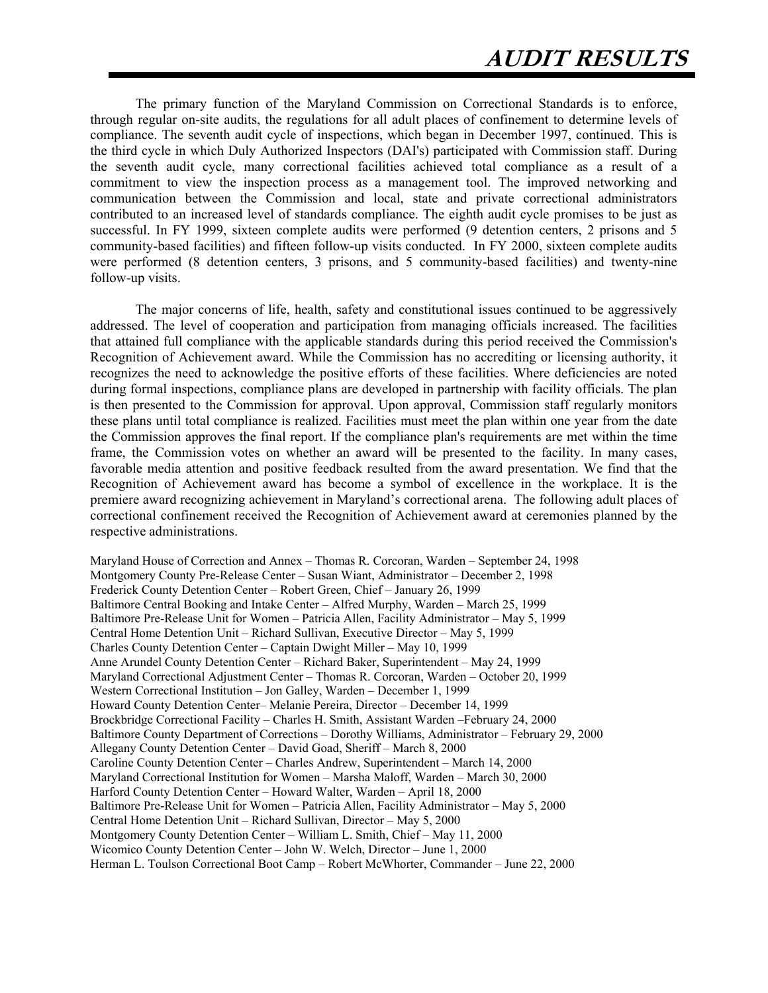The primary function of the Maryland Commission on Correctional Standards is to enforce, through regular on-site audits, the regulations for all adult places of confinement to determine levels of compliance. The seventh audit cycle of inspections, which began in December 1997, continued. This is the third cycle in which Duly Authorized Inspectors (DAI's) participated with Commission staff. During the seventh audit cycle, many correctional facilities achieved total compliance as a result of a commitment to view the inspection process as a management tool. The improved networking and communication between the Commission and local, state and private correctional administrators contributed to an increased level of standards compliance. The eighth audit cycle promises to be just as successful. In FY 1999, sixteen complete audits were performed (9 detention centers, 2 prisons and 5 community-based facilities) and fifteen follow-up visits conducted. In FY 2000, sixteen complete audits were performed (8 detention centers, 3 prisons, and 5 community-based facilities) and twenty-nine follow-up visits.

The major concerns of life, health, safety and constitutional issues continued to be aggressively addressed. The level of cooperation and participation from managing officials increased. The facilities that attained full compliance with the applicable standards during this period received the Commission's Recognition of Achievement award. While the Commission has no accrediting or licensing authority, it recognizes the need to acknowledge the positive efforts of these facilities. Where deficiencies are noted during formal inspections, compliance plans are developed in partnership with facility officials. The plan is then presented to the Commission for approval. Upon approval, Commission staff regularly monitors these plans until total compliance is realized. Facilities must meet the plan within one year from the date the Commission approves the final report. If the compliance plan's requirements are met within the time frame, the Commission votes on whether an award will be presented to the facility. In many cases, favorable media attention and positive feedback resulted from the award presentation. We find that the Recognition of Achievement award has become a symbol of excellence in the workplace. It is the premiere award recognizing achievement in Maryland's correctional arena. The following adult places of correctional confinement received the Recognition of Achievement award at ceremonies planned by the respective administrations.

Maryland House of Correction and Annex – Thomas R. Corcoran, Warden – September 24, 1998 Montgomery County Pre-Release Center – Susan Wiant, Administrator – December 2, 1998 Frederick County Detention Center – Robert Green, Chief – January 26, 1999 Baltimore Central Booking and Intake Center – Alfred Murphy, Warden – March 25, 1999 Baltimore Pre-Release Unit for Women – Patricia Allen, Facility Administrator – May 5, 1999 Central Home Detention Unit – Richard Sullivan, Executive Director – May 5, 1999 Charles County Detention Center – Captain Dwight Miller – May 10, 1999 Anne Arundel County Detention Center – Richard Baker, Superintendent – May 24, 1999 Maryland Correctional Adjustment Center – Thomas R. Corcoran, Warden – October 20, 1999 Western Correctional Institution – Jon Galley, Warden – December 1, 1999 Howard County Detention Center– Melanie Pereira, Director – December 14, 1999 Brockbridge Correctional Facility – Charles H. Smith, Assistant Warden –February 24, 2000 Baltimore County Department of Corrections – Dorothy Williams, Administrator – February 29, 2000 Allegany County Detention Center – David Goad, Sheriff – March 8, 2000 Caroline County Detention Center – Charles Andrew, Superintendent – March 14, 2000 Maryland Correctional Institution for Women – Marsha Maloff, Warden – March 30, 2000 Harford County Detention Center – Howard Walter, Warden – April 18, 2000 Baltimore Pre-Release Unit for Women – Patricia Allen, Facility Administrator – May 5, 2000 Central Home Detention Unit – Richard Sullivan, Director – May 5, 2000 Montgomery County Detention Center – William L. Smith, Chief – May 11, 2000 Wicomico County Detention Center – John W. Welch, Director – June 1, 2000 Herman L. Toulson Correctional Boot Camp – Robert McWhorter, Commander – June 22, 2000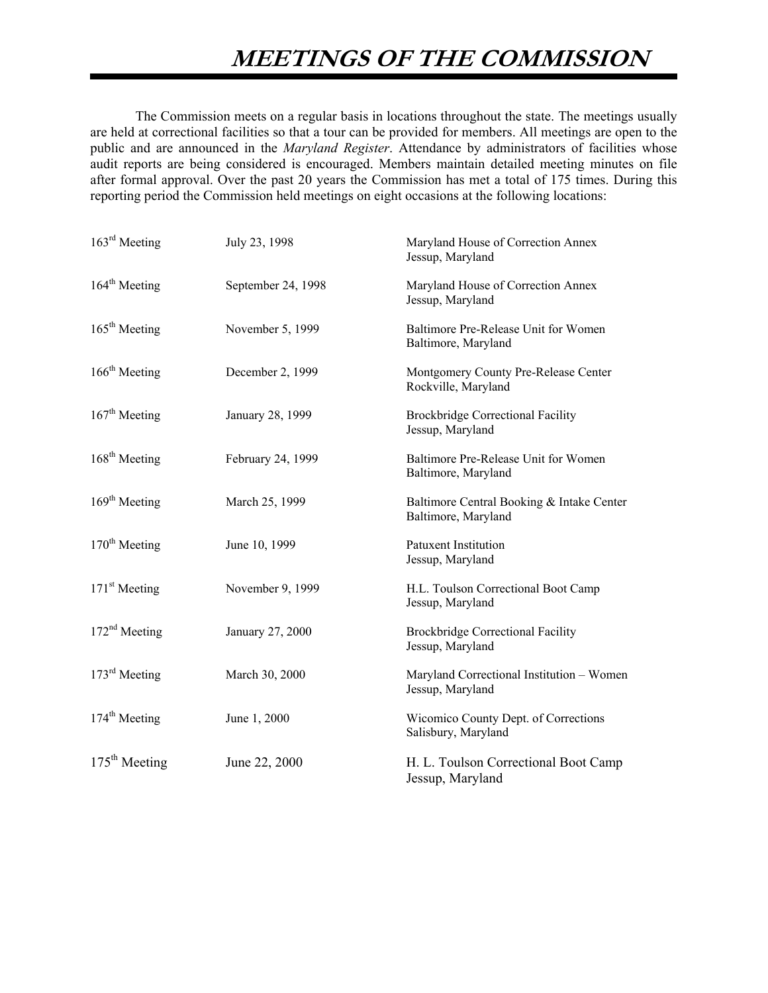The Commission meets on a regular basis in locations throughout the state. The meetings usually are held at correctional facilities so that a tour can be provided for members. All meetings are open to the public and are announced in the *Maryland Register*. Attendance by administrators of facilities whose audit reports are being considered is encouraged. Members maintain detailed meeting minutes on file after formal approval. Over the past 20 years the Commission has met a total of 175 times. During this reporting period the Commission held meetings on eight occasions at the following locations:

| $163rd$ Meeting           | July 23, 1998      | Maryland House of Correction Annex<br>Jessup, Maryland           |
|---------------------------|--------------------|------------------------------------------------------------------|
| $164^{\text{th}}$ Meeting | September 24, 1998 | Maryland House of Correction Annex<br>Jessup, Maryland           |
| 165 <sup>th</sup> Meeting | November 5, 1999   | Baltimore Pre-Release Unit for Women<br>Baltimore, Maryland      |
| $166th$ Meeting           | December 2, 1999   | Montgomery County Pre-Release Center<br>Rockville, Maryland      |
| $167th$ Meeting           | January 28, 1999   | <b>Brockbridge Correctional Facility</b><br>Jessup, Maryland     |
| $168th$ Meeting           | February 24, 1999  | Baltimore Pre-Release Unit for Women<br>Baltimore, Maryland      |
| 169 <sup>th</sup> Meeting | March 25, 1999     | Baltimore Central Booking & Intake Center<br>Baltimore, Maryland |
| $170th$ Meeting           | June 10, 1999      | <b>Patuxent Institution</b><br>Jessup, Maryland                  |
| $171st$ Meeting           | November 9, 1999   | H.L. Toulson Correctional Boot Camp<br>Jessup, Maryland          |
| $172nd$ Meeting           | January 27, 2000   | <b>Brockbridge Correctional Facility</b><br>Jessup, Maryland     |
| $173rd$ Meeting           | March 30, 2000     | Maryland Correctional Institution - Women<br>Jessup, Maryland    |
| $174th$ Meeting           | June 1, 2000       | Wicomico County Dept. of Corrections<br>Salisbury, Maryland      |
| $175th$ Meeting           | June 22, 2000      | H. L. Toulson Correctional Boot Camp<br>Jessup, Maryland         |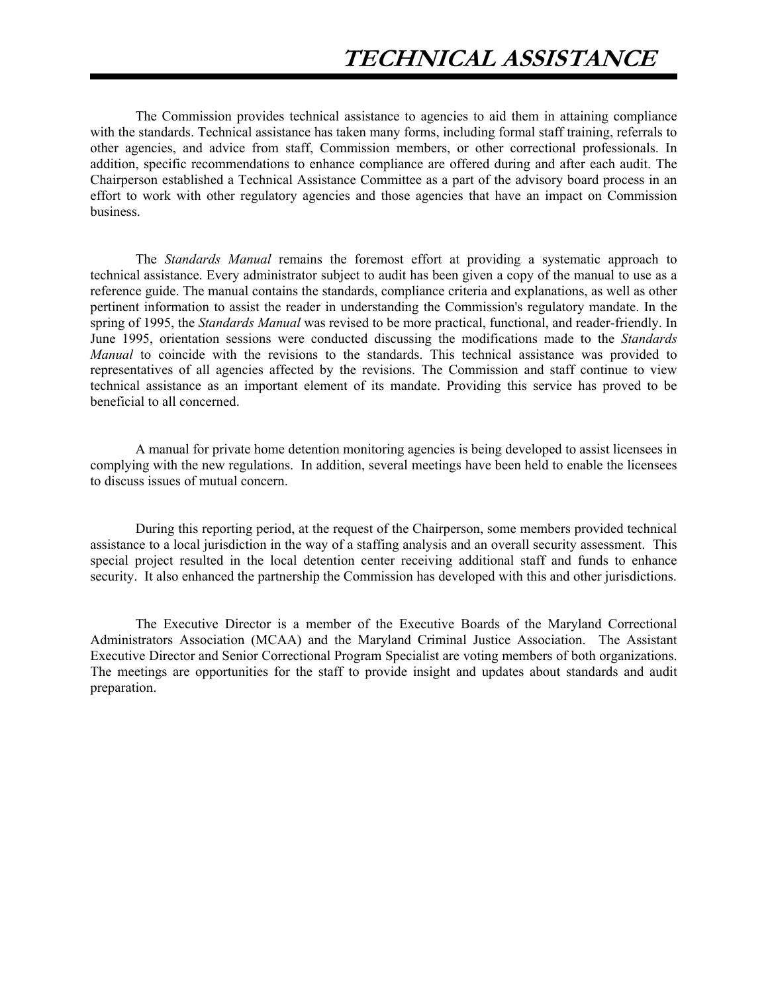The Commission provides technical assistance to agencies to aid them in attaining compliance with the standards. Technical assistance has taken many forms, including formal staff training, referrals to other agencies, and advice from staff, Commission members, or other correctional professionals. In addition, specific recommendations to enhance compliance are offered during and after each audit. The Chairperson established a Technical Assistance Committee as a part of the advisory board process in an effort to work with other regulatory agencies and those agencies that have an impact on Commission business.

The *Standards Manual* remains the foremost effort at providing a systematic approach to technical assistance. Every administrator subject to audit has been given a copy of the manual to use as a reference guide. The manual contains the standards, compliance criteria and explanations, as well as other pertinent information to assist the reader in understanding the Commission's regulatory mandate. In the spring of 1995, the *Standards Manual* was revised to be more practical, functional, and reader-friendly. In June 1995, orientation sessions were conducted discussing the modifications made to the *Standards Manual* to coincide with the revisions to the standards. This technical assistance was provided to representatives of all agencies affected by the revisions. The Commission and staff continue to view technical assistance as an important element of its mandate. Providing this service has proved to be beneficial to all concerned.

A manual for private home detention monitoring agencies is being developed to assist licensees in complying with the new regulations. In addition, several meetings have been held to enable the licensees to discuss issues of mutual concern.

During this reporting period, at the request of the Chairperson, some members provided technical assistance to a local jurisdiction in the way of a staffing analysis and an overall security assessment. This special project resulted in the local detention center receiving additional staff and funds to enhance security. It also enhanced the partnership the Commission has developed with this and other jurisdictions.

The Executive Director is a member of the Executive Boards of the Maryland Correctional Administrators Association (MCAA) and the Maryland Criminal Justice Association. The Assistant Executive Director and Senior Correctional Program Specialist are voting members of both organizations. The meetings are opportunities for the staff to provide insight and updates about standards and audit preparation.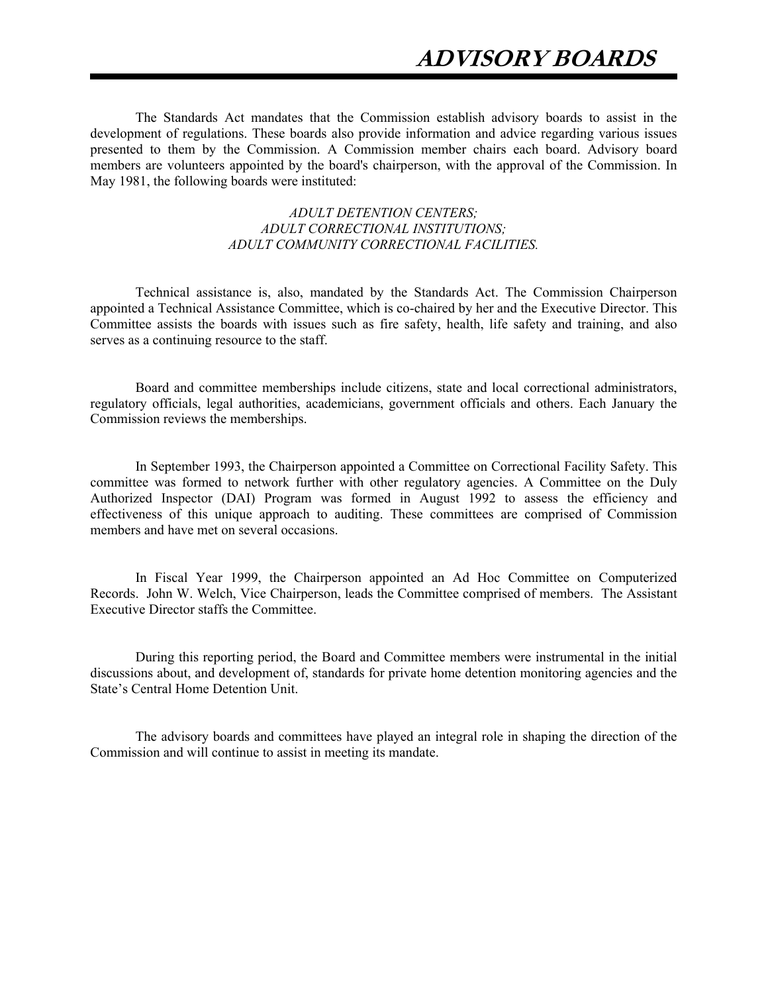The Standards Act mandates that the Commission establish advisory boards to assist in the development of regulations. These boards also provide information and advice regarding various issues presented to them by the Commission. A Commission member chairs each board. Advisory board members are volunteers appointed by the board's chairperson, with the approval of the Commission. In May 1981, the following boards were instituted:

## *ADULT DETENTION CENTERS; ADULT CORRECTIONAL INSTITUTIONS; ADULT COMMUNITY CORRECTIONAL FACILITIES.*

Technical assistance is, also, mandated by the Standards Act. The Commission Chairperson appointed a Technical Assistance Committee, which is co-chaired by her and the Executive Director. This Committee assists the boards with issues such as fire safety, health, life safety and training, and also serves as a continuing resource to the staff.

Board and committee memberships include citizens, state and local correctional administrators, regulatory officials, legal authorities, academicians, government officials and others. Each January the Commission reviews the memberships.

In September 1993, the Chairperson appointed a Committee on Correctional Facility Safety. This committee was formed to network further with other regulatory agencies. A Committee on the Duly Authorized Inspector (DAI) Program was formed in August 1992 to assess the efficiency and effectiveness of this unique approach to auditing. These committees are comprised of Commission members and have met on several occasions.

In Fiscal Year 1999, the Chairperson appointed an Ad Hoc Committee on Computerized Records. John W. Welch, Vice Chairperson, leads the Committee comprised of members. The Assistant Executive Director staffs the Committee.

During this reporting period, the Board and Committee members were instrumental in the initial discussions about, and development of, standards for private home detention monitoring agencies and the State's Central Home Detention Unit.

The advisory boards and committees have played an integral role in shaping the direction of the Commission and will continue to assist in meeting its mandate.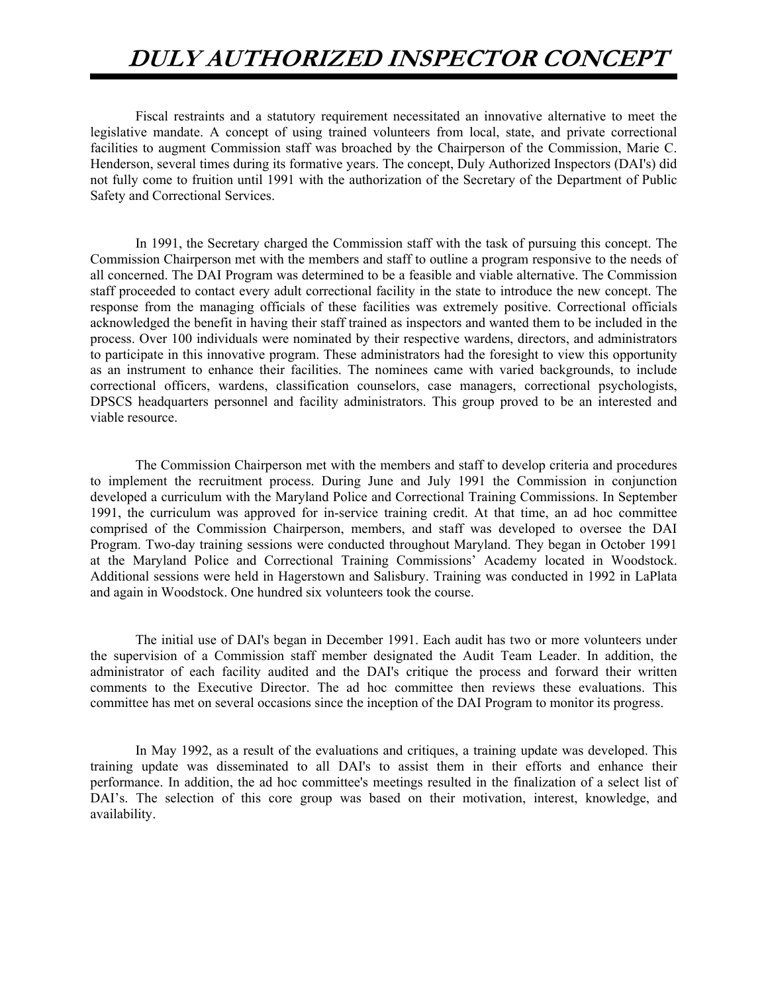# **DULY AUTHORIZED INSPECTOR CONCEPT**

Fiscal restraints and a statutory requirement necessitated an innovative alternative to meet the legislative mandate. A concept of using trained volunteers from local, state, and private correctional facilities to augment Commission staff was broached by the Chairperson of the Commission, Marie C. Henderson, several times during its formative years. The concept, Duly Authorized Inspectors (DAI's) did not fully come to fruition until 1991 with the authorization of the Secretary of the Department of Public Safety and Correctional Services.

In 1991, the Secretary charged the Commission staff with the task of pursuing this concept. The Commission Chairperson met with the members and staff to outline a program responsive to the needs of all concerned. The DAI Program was determined to be a feasible and viable alternative. The Commission staff proceeded to contact every adult correctional facility in the state to introduce the new concept. The response from the managing officials of these facilities was extremely positive. Correctional officials acknowledged the benefit in having their staff trained as inspectors and wanted them to be included in the process. Over 100 individuals were nominated by their respective wardens, directors, and administrators to participate in this innovative program. These administrators had the foresight to view this opportunity as an instrument to enhance their facilities. The nominees came with varied backgrounds, to include correctional officers, wardens, classification counselors, case managers, correctional psychologists, DPSCS headquarters personnel and facility administrators. This group proved to be an interested and viable resource.

The Commission Chairperson met with the members and staff to develop criteria and procedures to implement the recruitment process. During June and July 1991 the Commission in conjunction developed a curriculum with the Maryland Police and Correctional Training Commissions. In September 1991, the curriculum was approved for in-service training credit. At that time, an ad hoc committee comprised of the Commission Chairperson, members, and staff was developed to oversee the DAI Program. Two-day training sessions were conducted throughout Maryland. They began in October 1991 at the Maryland Police and Correctional Training Commissions' Academy located in Woodstock. Additional sessions were held in Hagerstown and Salisbury. Training was conducted in 1992 in LaPlata and again in Woodstock. One hundred six volunteers took the course.

The initial use of DAI's began in December 1991. Each audit has two or more volunteers under the supervision of a Commission staff member designated the Audit Team Leader. In addition, the administrator of each facility audited and the DAI's critique the process and forward their written comments to the Executive Director. The ad hoc committee then reviews these evaluations. This committee has met on several occasions since the inception of the DAI Program to monitor its progress.

In May 1992, as a result of the evaluations and critiques, a training update was developed. This training update was disseminated to all DAI's to assist them in their efforts and enhance their performance. In addition, the ad hoc committee's meetings resulted in the finalization of a select list of DAI's. The selection of this core group was based on their motivation, interest, knowledge, and availability.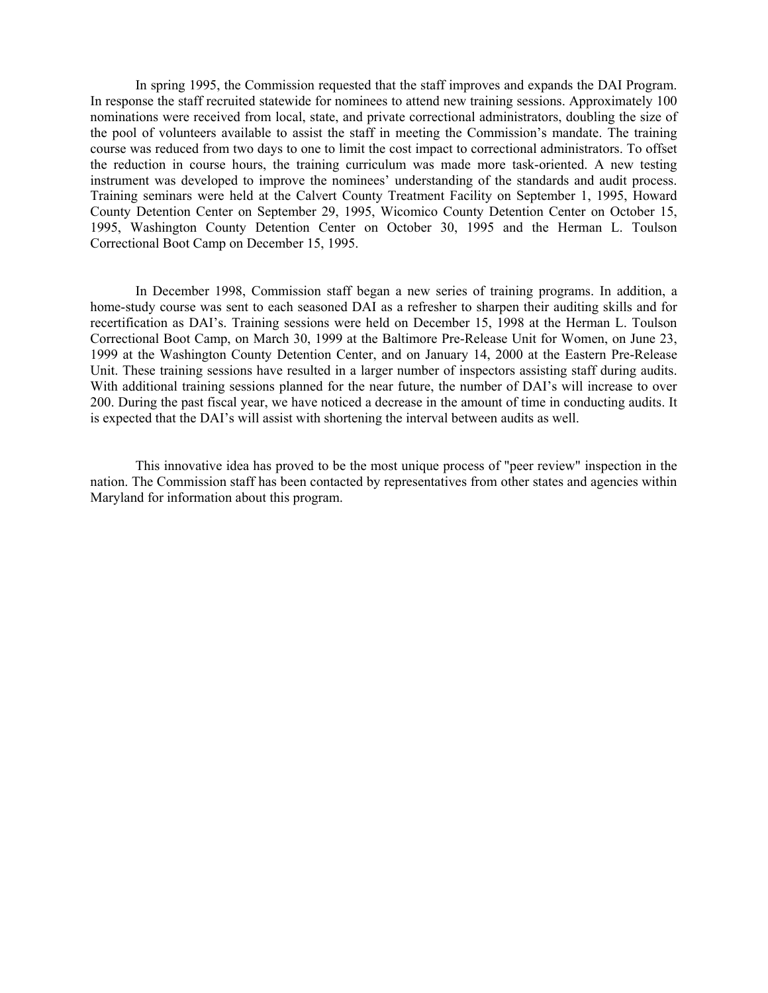In spring 1995, the Commission requested that the staff improves and expands the DAI Program. In response the staff recruited statewide for nominees to attend new training sessions. Approximately 100 nominations were received from local, state, and private correctional administrators, doubling the size of the pool of volunteers available to assist the staff in meeting the Commission's mandate. The training course was reduced from two days to one to limit the cost impact to correctional administrators. To offset the reduction in course hours, the training curriculum was made more task-oriented. A new testing instrument was developed to improve the nominees' understanding of the standards and audit process. Training seminars were held at the Calvert County Treatment Facility on September 1, 1995, Howard County Detention Center on September 29, 1995, Wicomico County Detention Center on October 15, 1995, Washington County Detention Center on October 30, 1995 and the Herman L. Toulson Correctional Boot Camp on December 15, 1995.

 In December 1998, Commission staff began a new series of training programs. In addition, a home-study course was sent to each seasoned DAI as a refresher to sharpen their auditing skills and for recertification as DAI's. Training sessions were held on December 15, 1998 at the Herman L. Toulson Correctional Boot Camp, on March 30, 1999 at the Baltimore Pre-Release Unit for Women, on June 23, 1999 at the Washington County Detention Center, and on January 14, 2000 at the Eastern Pre-Release Unit. These training sessions have resulted in a larger number of inspectors assisting staff during audits. With additional training sessions planned for the near future, the number of DAI's will increase to over 200. During the past fiscal year, we have noticed a decrease in the amount of time in conducting audits. It is expected that the DAI's will assist with shortening the interval between audits as well.

This innovative idea has proved to be the most unique process of "peer review" inspection in the nation. The Commission staff has been contacted by representatives from other states and agencies within Maryland for information about this program.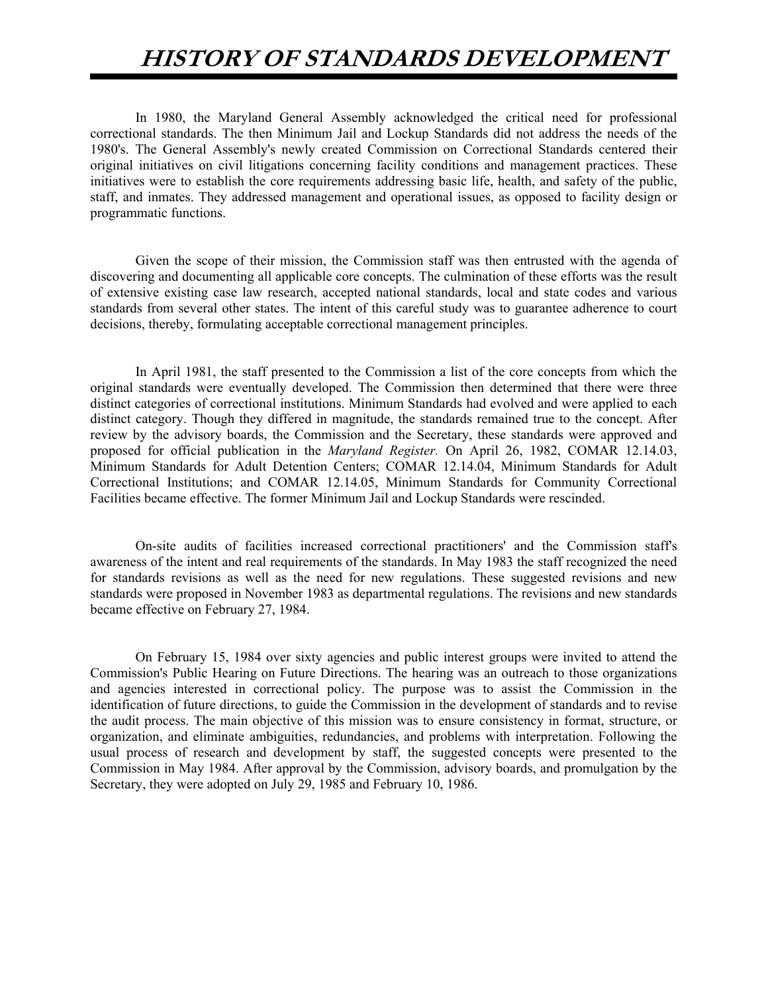# **HISTORY OF STANDARDS DEVELOPMENT**

In 1980, the Maryland General Assembly acknowledged the critical need for professional correctional standards. The then Minimum Jail and Lockup Standards did not address the needs of the 1980's. The General Assembly's newly created Commission on Correctional Standards centered their original initiatives on civil litigations concerning facility conditions and management practices. These initiatives were to establish the core requirements addressing basic life, health, and safety of the public, staff, and inmates. They addressed management and operational issues, as opposed to facility design or programmatic functions.

Given the scope of their mission, the Commission staff was then entrusted with the agenda of discovering and documenting all applicable core concepts. The culmination of these efforts was the result of extensive existing case law research, accepted national standards, local and state codes and various standards from several other states. The intent of this careful study was to guarantee adherence to court decisions, thereby, formulating acceptable correctional management principles.

In April 1981, the staff presented to the Commission a list of the core concepts from which the original standards were eventually developed. The Commission then determined that there were three distinct categories of correctional institutions. Minimum Standards had evolved and were applied to each distinct category. Though they differed in magnitude, the standards remained true to the concept. After review by the advisory boards, the Commission and the Secretary, these standards were approved and proposed for official publication in the *Maryland Register.* On April 26, 1982, COMAR 12.14.03, Minimum Standards for Adult Detention Centers; COMAR 12.14.04, Minimum Standards for Adult Correctional Institutions; and COMAR 12.14.05, Minimum Standards for Community Correctional Facilities became effective. The former Minimum Jail and Lockup Standards were rescinded.

On-site audits of facilities increased correctional practitioners' and the Commission staff's awareness of the intent and real requirements of the standards. In May 1983 the staff recognized the need for standards revisions as well as the need for new regulations. These suggested revisions and new standards were proposed in November 1983 as departmental regulations. The revisions and new standards became effective on February 27, 1984.

On February 15, 1984 over sixty agencies and public interest groups were invited to attend the Commission's Public Hearing on Future Directions. The hearing was an outreach to those organizations and agencies interested in correctional policy. The purpose was to assist the Commission in the identification of future directions, to guide the Commission in the development of standards and to revise the audit process. The main objective of this mission was to ensure consistency in format, structure, or organization, and eliminate ambiguities, redundancies, and problems with interpretation. Following the usual process of research and development by staff, the suggested concepts were presented to the Commission in May 1984. After approval by the Commission, advisory boards, and promulgation by the Secretary, they were adopted on July 29, 1985 and February 10, 1986.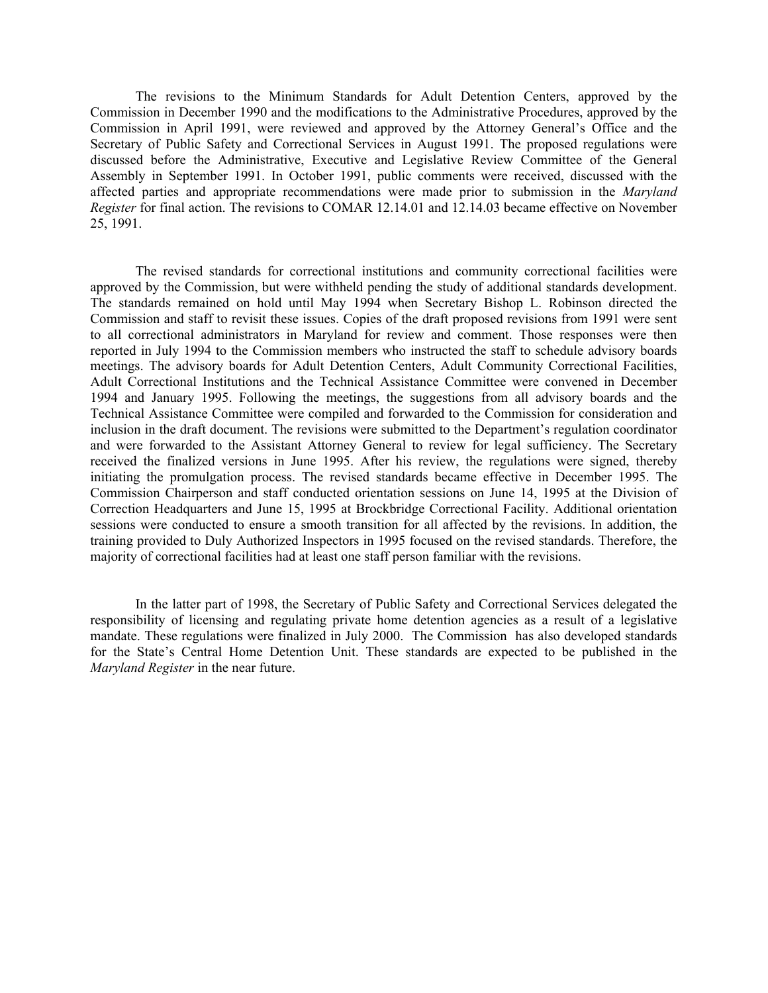The revisions to the Minimum Standards for Adult Detention Centers, approved by the Commission in December 1990 and the modifications to the Administrative Procedures, approved by the Commission in April 1991, were reviewed and approved by the Attorney General's Office and the Secretary of Public Safety and Correctional Services in August 1991. The proposed regulations were discussed before the Administrative, Executive and Legislative Review Committee of the General Assembly in September 1991. In October 1991, public comments were received, discussed with the affected parties and appropriate recommendations were made prior to submission in the *Maryland Register* for final action. The revisions to COMAR 12.14.01 and 12.14.03 became effective on November 25, 1991.

The revised standards for correctional institutions and community correctional facilities were approved by the Commission, but were withheld pending the study of additional standards development. The standards remained on hold until May 1994 when Secretary Bishop L. Robinson directed the Commission and staff to revisit these issues. Copies of the draft proposed revisions from 1991 were sent to all correctional administrators in Maryland for review and comment. Those responses were then reported in July 1994 to the Commission members who instructed the staff to schedule advisory boards meetings. The advisory boards for Adult Detention Centers, Adult Community Correctional Facilities, Adult Correctional Institutions and the Technical Assistance Committee were convened in December 1994 and January 1995. Following the meetings, the suggestions from all advisory boards and the Technical Assistance Committee were compiled and forwarded to the Commission for consideration and inclusion in the draft document. The revisions were submitted to the Department's regulation coordinator and were forwarded to the Assistant Attorney General to review for legal sufficiency. The Secretary received the finalized versions in June 1995. After his review, the regulations were signed, thereby initiating the promulgation process. The revised standards became effective in December 1995. The Commission Chairperson and staff conducted orientation sessions on June 14, 1995 at the Division of Correction Headquarters and June 15, 1995 at Brockbridge Correctional Facility. Additional orientation sessions were conducted to ensure a smooth transition for all affected by the revisions. In addition, the training provided to Duly Authorized Inspectors in 1995 focused on the revised standards. Therefore, the majority of correctional facilities had at least one staff person familiar with the revisions.

In the latter part of 1998, the Secretary of Public Safety and Correctional Services delegated the responsibility of licensing and regulating private home detention agencies as a result of a legislative mandate. These regulations were finalized in July 2000. The Commission has also developed standards for the State's Central Home Detention Unit. These standards are expected to be published in the *Maryland Register* in the near future.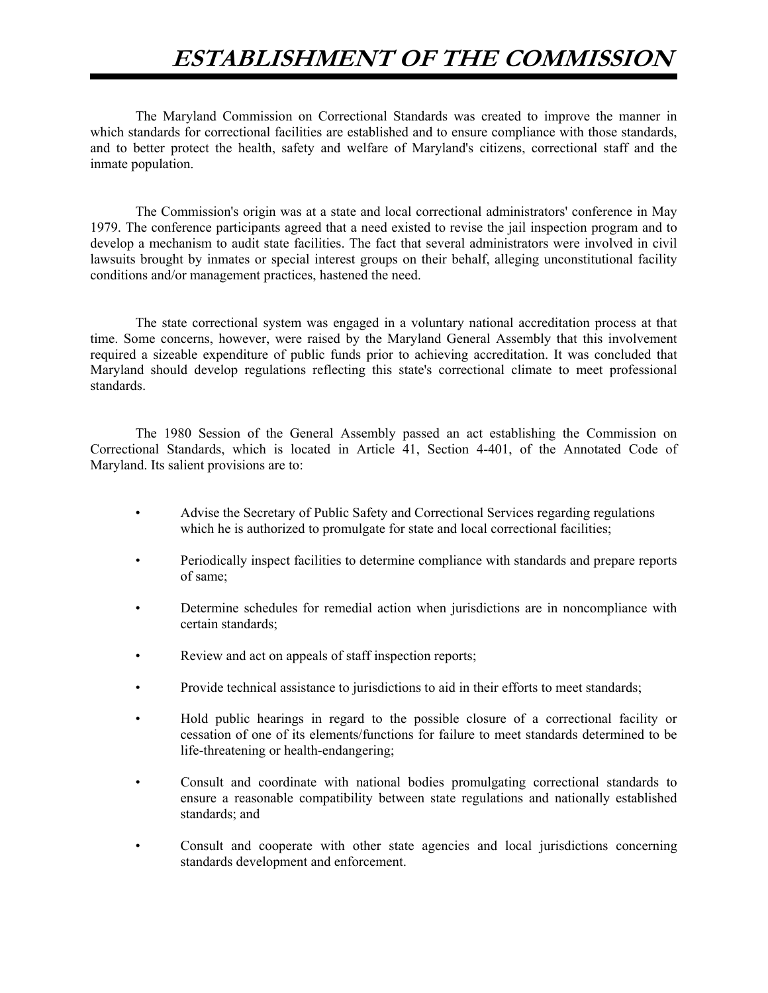# **ESTABLISHMENT OF THE COMMISSION**

The Maryland Commission on Correctional Standards was created to improve the manner in which standards for correctional facilities are established and to ensure compliance with those standards, and to better protect the health, safety and welfare of Maryland's citizens, correctional staff and the inmate population.

The Commission's origin was at a state and local correctional administrators' conference in May 1979. The conference participants agreed that a need existed to revise the jail inspection program and to develop a mechanism to audit state facilities. The fact that several administrators were involved in civil lawsuits brought by inmates or special interest groups on their behalf, alleging unconstitutional facility conditions and/or management practices, hastened the need.

The state correctional system was engaged in a voluntary national accreditation process at that time. Some concerns, however, were raised by the Maryland General Assembly that this involvement required a sizeable expenditure of public funds prior to achieving accreditation. It was concluded that Maryland should develop regulations reflecting this state's correctional climate to meet professional standards.

The 1980 Session of the General Assembly passed an act establishing the Commission on Correctional Standards, which is located in Article 41, Section 4-401, of the Annotated Code of Maryland. Its salient provisions are to:

- Advise the Secretary of Public Safety and Correctional Services regarding regulations which he is authorized to promulgate for state and local correctional facilities;
- Periodically inspect facilities to determine compliance with standards and prepare reports of same;
- Determine schedules for remedial action when jurisdictions are in noncompliance with certain standards;
- Review and act on appeals of staff inspection reports;
- Provide technical assistance to jurisdictions to aid in their efforts to meet standards;
- Hold public hearings in regard to the possible closure of a correctional facility or cessation of one of its elements/functions for failure to meet standards determined to be life-threatening or health-endangering;
- Consult and coordinate with national bodies promulgating correctional standards to ensure a reasonable compatibility between state regulations and nationally established standards; and
- Consult and cooperate with other state agencies and local jurisdictions concerning standards development and enforcement.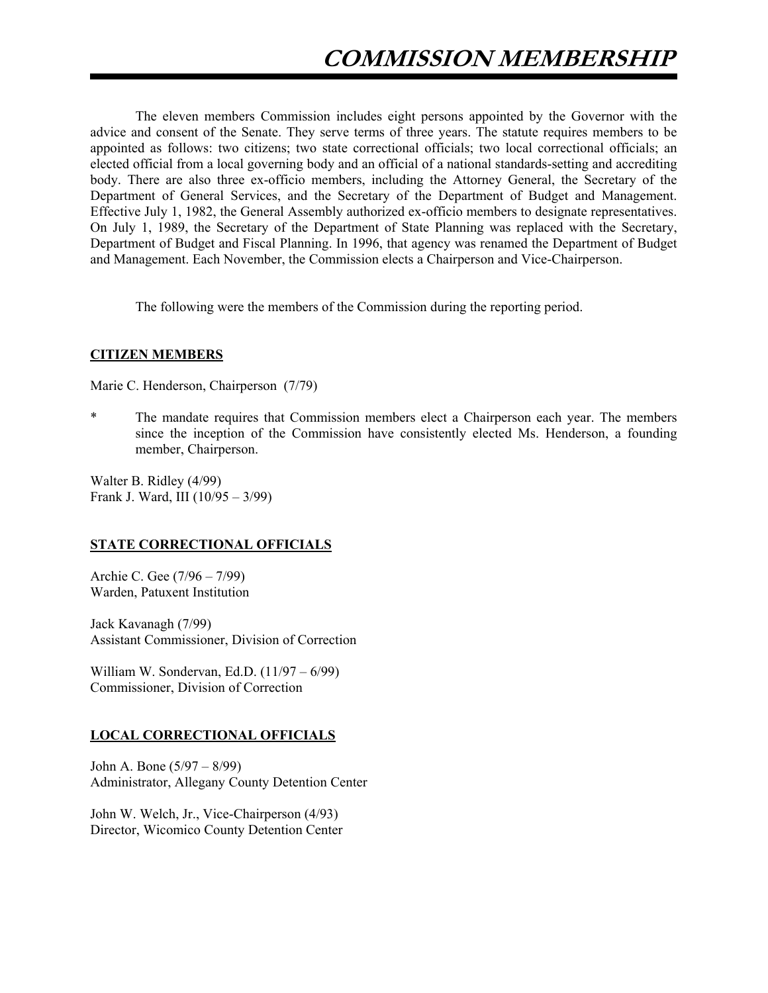The eleven members Commission includes eight persons appointed by the Governor with the advice and consent of the Senate. They serve terms of three years. The statute requires members to be appointed as follows: two citizens; two state correctional officials; two local correctional officials; an elected official from a local governing body and an official of a national standards-setting and accrediting body. There are also three ex-officio members, including the Attorney General, the Secretary of the Department of General Services, and the Secretary of the Department of Budget and Management. Effective July 1, 1982, the General Assembly authorized ex-officio members to designate representatives. On July 1, 1989, the Secretary of the Department of State Planning was replaced with the Secretary, Department of Budget and Fiscal Planning. In 1996, that agency was renamed the Department of Budget and Management. Each November, the Commission elects a Chairperson and Vice-Chairperson.

The following were the members of the Commission during the reporting period.

## **CITIZEN MEMBERS**

Marie C. Henderson, Chairperson (7/79)

The mandate requires that Commission members elect a Chairperson each year. The members since the inception of the Commission have consistently elected Ms. Henderson, a founding member, Chairperson.

Walter B. Ridley (4/99) Frank J. Ward, III (10/95 – 3/99)

## **STATE CORRECTIONAL OFFICIALS**

Archie C. Gee (7/96 – 7/99) Warden, Patuxent Institution

Jack Kavanagh (7/99) Assistant Commissioner, Division of Correction

William W. Sondervan, Ed.D. (11/97 – 6/99) Commissioner, Division of Correction

## **LOCAL CORRECTIONAL OFFICIALS**

John A. Bone (5/97 – 8/99) Administrator, Allegany County Detention Center

John W. Welch, Jr., Vice-Chairperson (4/93) Director, Wicomico County Detention Center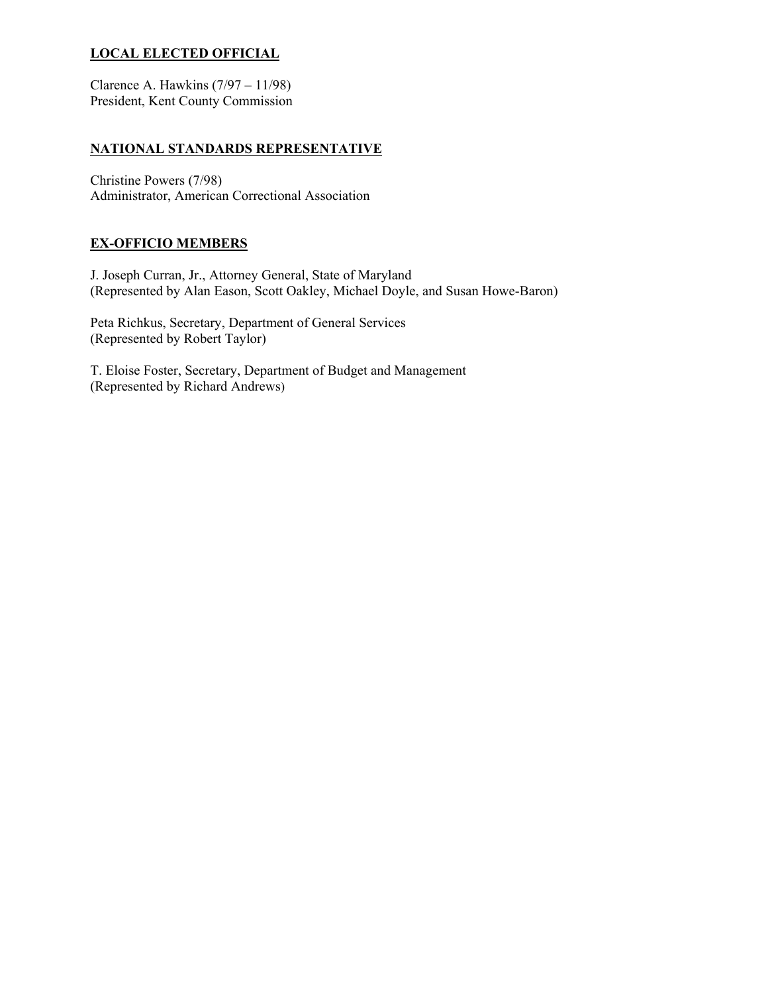## **LOCAL ELECTED OFFICIAL**

Clarence A. Hawkins (7/97 – 11/98) President, Kent County Commission

## **NATIONAL STANDARDS REPRESENTATIVE**

Christine Powers (7/98) Administrator, American Correctional Association

## **EX-OFFICIO MEMBERS**

J. Joseph Curran, Jr., Attorney General, State of Maryland (Represented by Alan Eason, Scott Oakley, Michael Doyle, and Susan Howe-Baron)

Peta Richkus, Secretary, Department of General Services (Represented by Robert Taylor)

T. Eloise Foster, Secretary, Department of Budget and Management (Represented by Richard Andrews)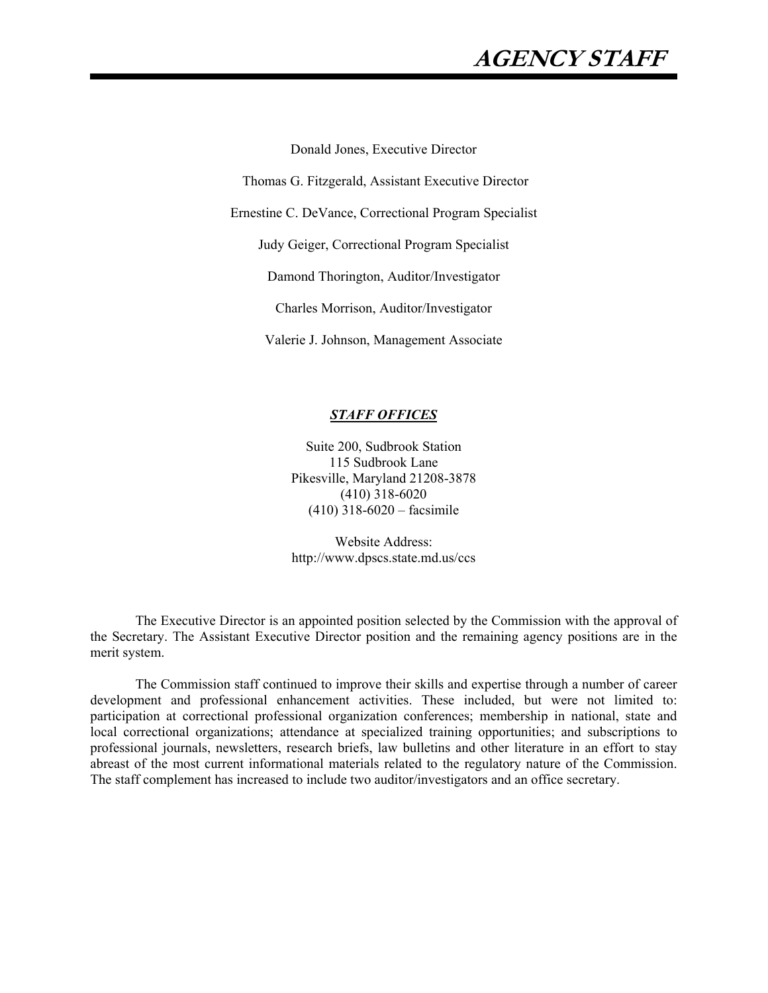## **AGENCY STAFF**

Donald Jones, Executive Director

Thomas G. Fitzgerald, Assistant Executive Director

Ernestine C. DeVance, Correctional Program Specialist

Judy Geiger, Correctional Program Specialist

Damond Thorington, Auditor/Investigator

Charles Morrison, Auditor/Investigator

Valerie J. Johnson, Management Associate

#### *STAFF OFFICES*

Suite 200, Sudbrook Station 115 Sudbrook Lane Pikesville, Maryland 21208-3878 (410) 318-6020 (410) 318-6020 – facsimile

Website Address: http://www.dpscs.state.md.us/ccs

The Executive Director is an appointed position selected by the Commission with the approval of the Secretary. The Assistant Executive Director position and the remaining agency positions are in the merit system.

The Commission staff continued to improve their skills and expertise through a number of career development and professional enhancement activities. These included, but were not limited to: participation at correctional professional organization conferences; membership in national, state and local correctional organizations; attendance at specialized training opportunities; and subscriptions to professional journals, newsletters, research briefs, law bulletins and other literature in an effort to stay abreast of the most current informational materials related to the regulatory nature of the Commission. The staff complement has increased to include two auditor/investigators and an office secretary.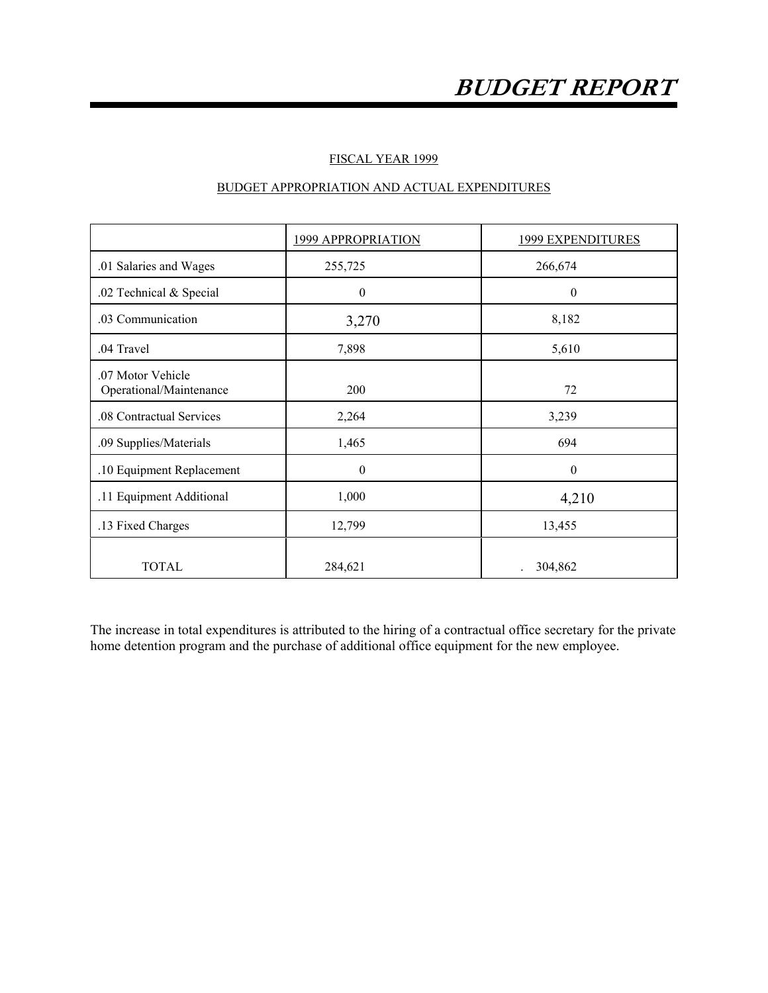## FISCAL YEAR 1999

## BUDGET APPROPRIATION AND ACTUAL EXPENDITURES

|                                              | 1999 APPROPRIATION | 1999 EXPENDITURES |
|----------------------------------------------|--------------------|-------------------|
| .01 Salaries and Wages                       | 255,725            | 266,674           |
| .02 Technical & Special                      | $\boldsymbol{0}$   | $\mathbf{0}$      |
| .03 Communication                            | 3,270              | 8,182             |
| .04 Travel                                   | 7,898              | 5,610             |
| .07 Motor Vehicle<br>Operational/Maintenance | 200                | 72                |
| .08 Contractual Services                     | 2,264              | 3,239             |
| .09 Supplies/Materials                       | 1,465              | 694               |
| .10 Equipment Replacement                    | $\theta$           | $\theta$          |
| .11 Equipment Additional                     | 1,000              | 4,210             |
| .13 Fixed Charges                            | 12,799             | 13,455            |
| <b>TOTAL</b>                                 | 284,621            | 304,862           |

The increase in total expenditures is attributed to the hiring of a contractual office secretary for the private home detention program and the purchase of additional office equipment for the new employee.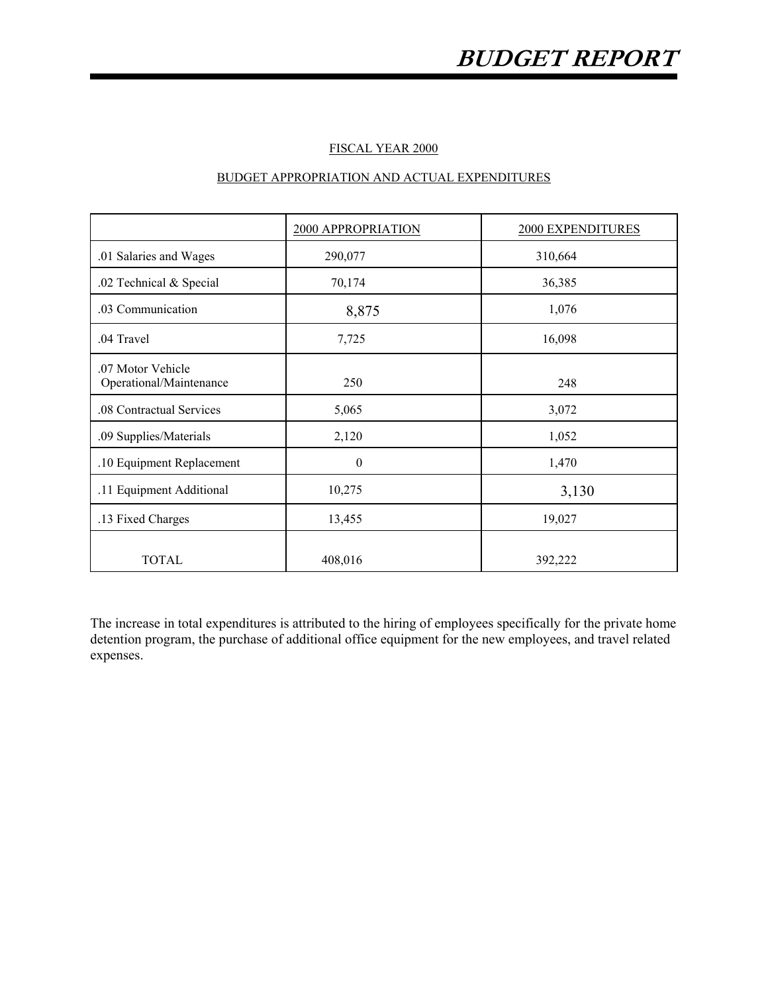### FISCAL YEAR 2000

## BUDGET APPROPRIATION AND ACTUAL EXPENDITURES

|                                              | 2000 APPROPRIATION | 2000 EXPENDITURES |
|----------------------------------------------|--------------------|-------------------|
| .01 Salaries and Wages                       | 290,077            | 310,664           |
| .02 Technical & Special                      | 70,174             | 36,385            |
| .03 Communication                            | 8,875              | 1,076             |
| .04 Travel                                   | 7,725              | 16,098            |
| .07 Motor Vehicle<br>Operational/Maintenance | 250                | 248               |
| .08 Contractual Services                     | 5,065              | 3,072             |
| .09 Supplies/Materials                       | 2,120              | 1,052             |
| .10 Equipment Replacement                    | $\boldsymbol{0}$   | 1,470             |
| .11 Equipment Additional                     | 10,275             | 3,130             |
| .13 Fixed Charges                            | 13,455             | 19,027            |
| <b>TOTAL</b>                                 | 408,016            | 392,222           |

The increase in total expenditures is attributed to the hiring of employees specifically for the private home detention program, the purchase of additional office equipment for the new employees, and travel related expenses.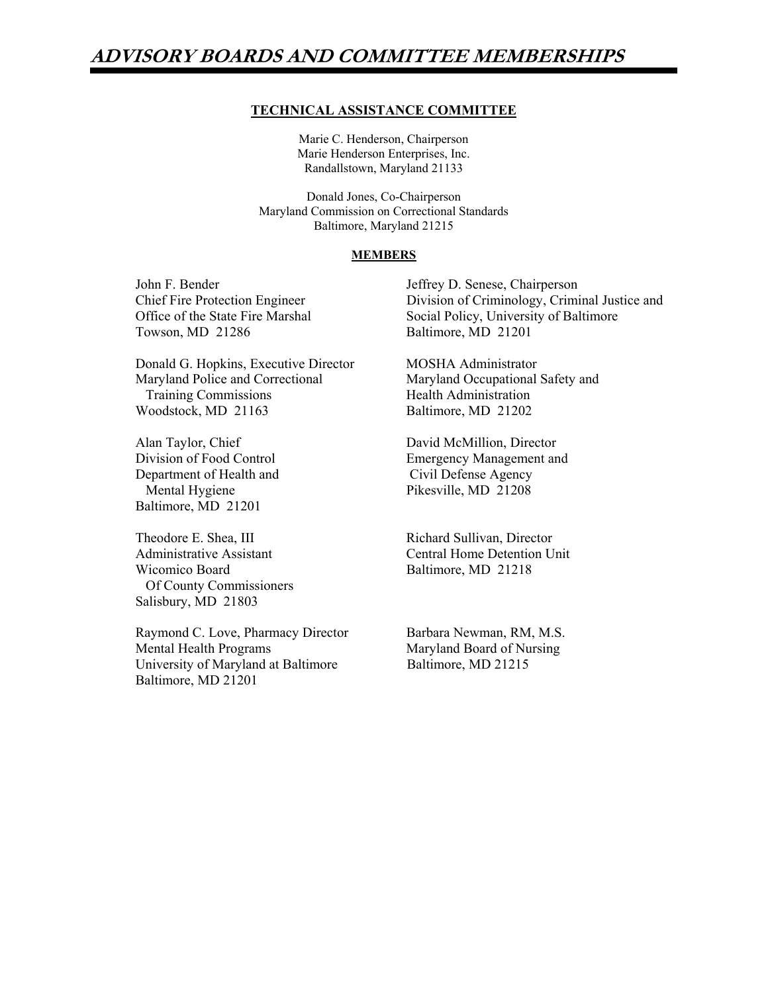## **ADVISORY BOARDS AND COMMITTEE MEMBERSHIPS**

### **TECHNICAL ASSISTANCE COMMITTEE**

Marie C. Henderson, Chairperson Marie Henderson Enterprises, Inc. Randallstown, Maryland 21133

 Donald Jones, Co-Chairperson Maryland Commission on Correctional Standards Baltimore, Maryland 21215

#### **MEMBERS**

Towson, MD 21286 Baltimore, MD 21201

Donald G. Hopkins, Executive Director MOSHA Administrator Maryland Police and Correctional Maryland Occupational Safety and Training Commissions Health Administration Woodstock, MD 21163 Baltimore, MD 21202

Department of Health and Civil Defense Agency Mental Hygiene Pikesville, MD 21208 Baltimore, MD 21201

Theodore E. Shea, III Richard Sullivan, Director Wicomico Board Baltimore, MD 21218 Of County Commissioners Salisbury, MD 21803

Raymond C. Love, Pharmacy Director Barbara Newman, RM, M.S. Mental Health Programs Maryland Board of Nursing University of Maryland at Baltimore<br>Baltimore, MD 21215 Baltimore, MD 21201

John F. Bender Jeffrey D. Senese, Chairperson Chief Fire Protection Engineer Division of Criminology, Criminal Justice and Office of the State Fire Marshal Social Policy, University of Baltimore

Alan Taylor, Chief David McMillion, Director Division of Food Control Emergency Management and

Administrative Assistant Central Home Detention Unit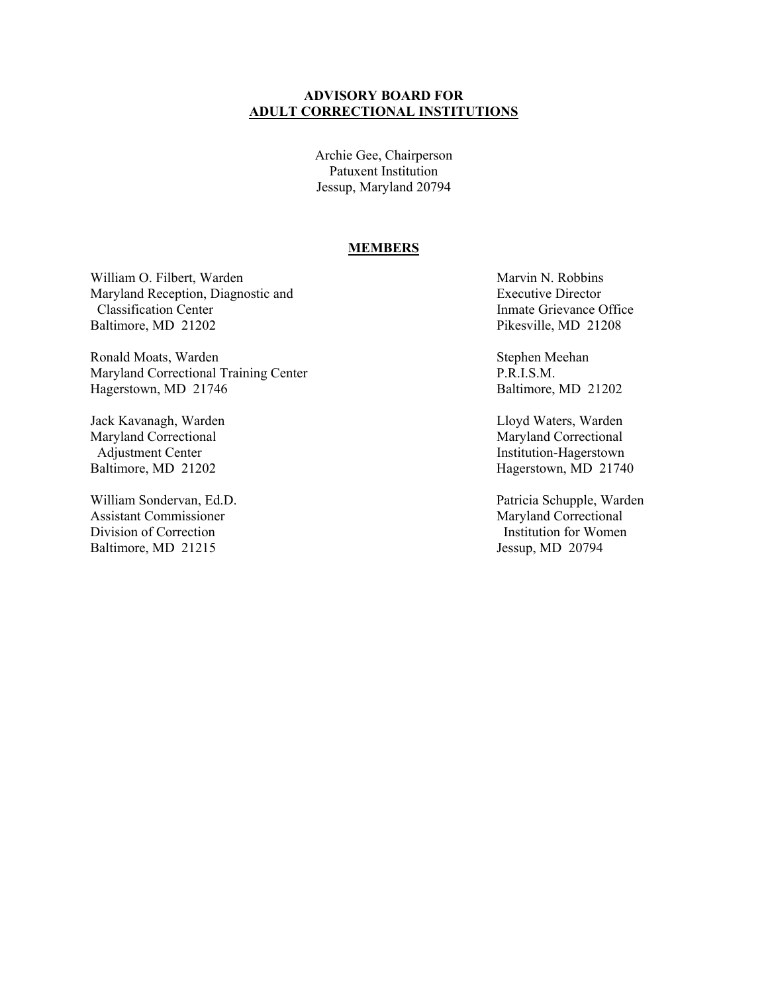## **ADVISORY BOARD FOR ADULT CORRECTIONAL INSTITUTIONS**

Archie Gee, Chairperson Patuxent Institution Jessup, Maryland 20794

#### **MEMBERS**

William O. Filbert, Warden Marvin N. Robbins Maryland Reception, Diagnostic and Executive Director **Classification Center Inmate Grievance Office** Baltimore, MD 21202 Pikesville, MD 21208

Ronald Moats, Warden Stephen Meehan Maryland Correctional Training Center P.R.I.S.M. Hagerstown, MD 21746 Baltimore, MD 21202

Jack Kavanagh, Warden Lloyd Waters, Warden Maryland Correctional<br>
Adjustment Center<br>
Maryland Correctional<br>
Institution-Hagerstown

Assistant Commissioner Maryland Correctional<br>
Division of Correction<br>
Maryland Correction<br>
Institution for Women Division of Correction Baltimore, MD 21215 Jessup, MD 20794

**Institution-Hagerstown** Baltimore, MD 21202 Hagerstown, MD 21740

William Sondervan, Ed.D. Patricia Schupple, Warden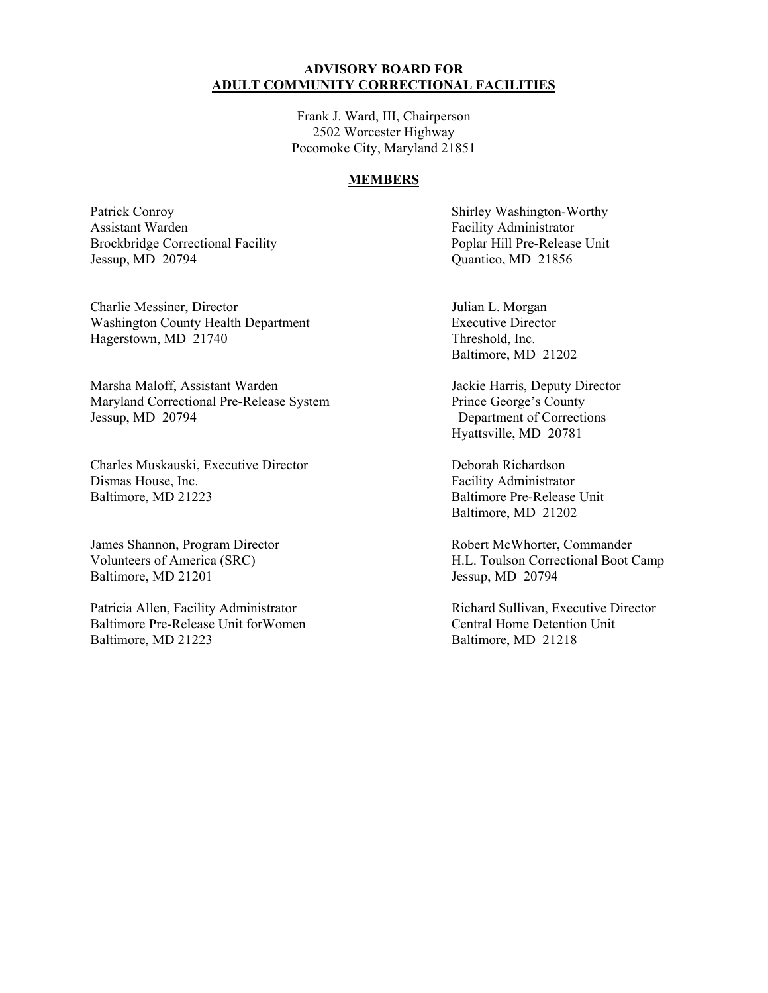## **ADVISORY BOARD FOR ADULT COMMUNITY CORRECTIONAL FACILITIES**

Frank J. Ward, III, Chairperson 2502 Worcester Highway Pocomoke City, Maryland 21851

## **MEMBERS**

Patrick Conroy Shirley Washington-Worthy Assistant Warden Facility Administrator Brockbridge Correctional Facility Poplar Hill Pre-Release Unit Jessup, MD 20794 Quantico, MD 21856

Charlie Messiner, Director Julian L. Morgan Washington County Health Department Executive Director Hagerstown, MD 21740 Threshold, Inc.

Marsha Maloff, Assistant Warden Jackie Harris, Deputy Director<br>
Maryland Correctional Pre-Release System<br>
Prince George's County Maryland Correctional Pre-Release System Jessup, MD 20794 Department of Corrections

Charles Muskauski, Executive Director Deborah Richardson Dismas House, Inc.<br>
Baltimore, MD 21223<br>
Baltimore Pre-Release

Baltimore, MD 21201 Jessup, MD 20794

Patricia Allen, Facility Administrator **Richard Sullivan, Executive Director** Richard Sullivan, Executive Director Baltimore Pre-Release Unit for Women Central Home Detention Unit Baltimore, MD 21223 Baltimore, MD 21218

Baltimore, MD 21202

Hyattsville, MD 20781

Baltimore Pre-Release Unit Baltimore, MD 21202

James Shannon, Program Director Robert McWhorter, Commander Volunteers of America (SRC) H.L. Toulson Correctional Boot Camp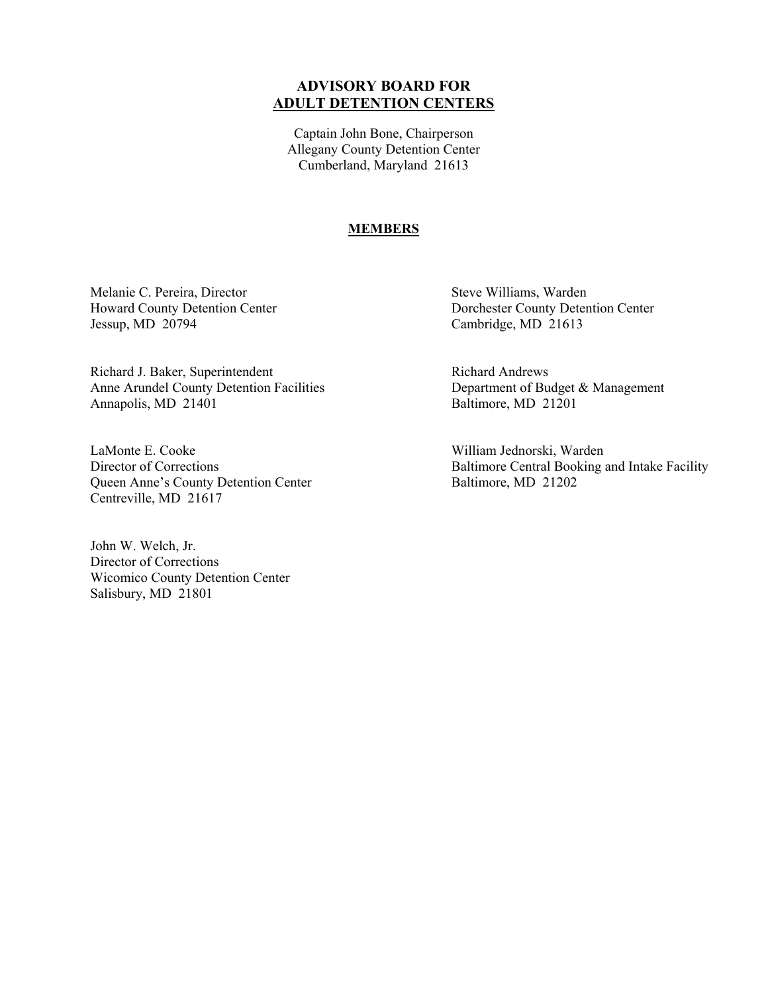## **ADVISORY BOARD FOR ADULT DETENTION CENTERS**

Captain John Bone, Chairperson Allegany County Detention Center Cumberland, Maryland 21613

#### **MEMBERS**

Melanie C. Pereira, Director Steve Williams, Warden Jessup, MD 20794 Cambridge, MD 21613

Richard J. Baker, Superintendent Richard Andrews Anne Arundel County Detention Facilities Department of Budget & Management Annapolis, MD 21401 Baltimore, MD 21201

LaMonte E. Cooke William Jednorski, Warden Queen Anne's County Detention Center Baltimore, MD 21202 Centreville, MD 21617

John W. Welch, Jr. Director of Corrections Wicomico County Detention Center Salisbury, MD 21801

Howard County Detention Center Dorchester County Detention Center

Director of Corrections Baltimore Central Booking and Intake Facility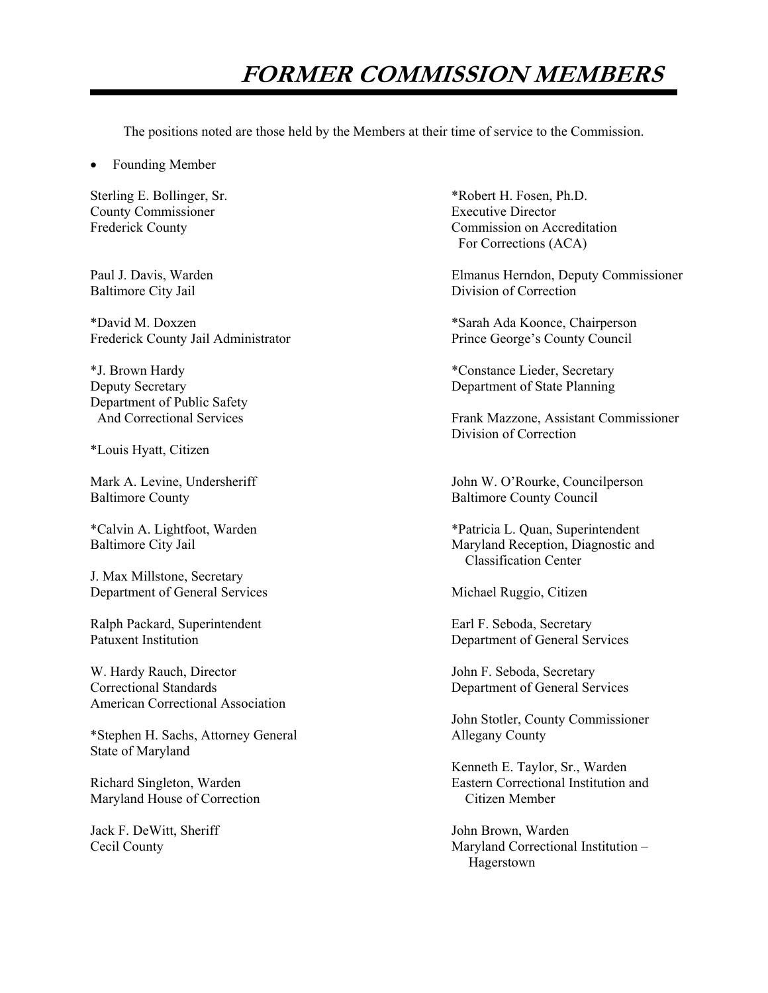## **FORMER COMMISSION MEMBERS**

The positions noted are those held by the Members at their time of service to the Commission.

Founding Member

County Commissioner<br>
Frederick County<br>
Commission on Acc

\*David M. Doxzen \*Sarah Ada Koonce, Chairperson Frederick County Jail Administrator

Department of Public Safety

\*Louis Hyatt, Citizen

Baltimore County **Baltimore County** Baltimore County Council

J. Max Millstone, Secretary Department of General Services Michael Ruggio, Citizen

Ralph Packard, Superintendent Earl F. Seboda, Secretary

W. Hardy Rauch, Director **V. All and Secretary** John F. Seboda, Secretary Correctional Standards Department of General Services American Correctional Association

\*Stephen H. Sachs, Attorney General Allegany County State of Maryland

Maryland House of Correction Citizen Member

Jack F. DeWitt, Sheriff  $John Brown$ , Warden

Sterling E. Bollinger, Sr.  $*Robert H. Fosen, Ph.D.$ Commission on Accreditation For Corrections (ACA)

Paul J. Davis, Warden Elmanus Herndon, Deputy Commissioner Baltimore City Jail **Division of Correction** 

\*J. Brown Hardy \*Constance Lieder, Secretary Deputy Secretary Department of State Planning

 And Correctional Services Frank Mazzone, Assistant Commissioner Division of Correction

Mark A. Levine, Undersheriff John W. O'Rourke, Councilperson

\*Calvin A. Lightfoot, Warden \*Patricia L. Quan, Superintendent Baltimore City Jail Maryland Reception, Diagnostic and Classification Center

Patuxent Institution Department of General Services

John Stotler, County Commissioner

 Kenneth E. Taylor, Sr., Warden Richard Singleton, Warden Eastern Correctional Institution and

Cecil County Maryland Correctional Institution – Hagerstown